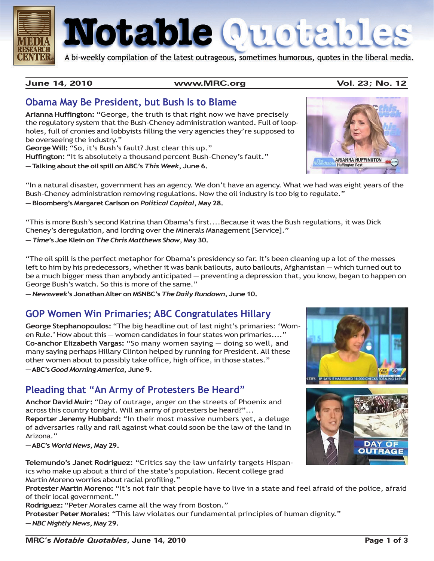

# Notable Quotable

A bi-weekly compilation of the latest outrageous, sometimes humorous, quotes in the liberal media.

**June 14, 2010 www.MRC.org Vol. 23; No. 12**

**ARIANNA HUFFINGTON Huffington Post** 

#### **Obama May Be President, but Bush Is to Blame**

**Arianna Huffington:** "George, the truth is that right now we have precisely the regulatory system that the Bush-Cheney administration wanted. Full of loopholes, full of cronies and lobbyists filling the very agencies they're supposed to be overseeing the industry."

**George Will:** "So, it's Bush's fault? Just clear this up." **Huffington:** "It is absolutely a thousand percent Bush-Cheney's fault."

**— Talking about the oil spill on ABC's** *This Week***, June 6.**

"In a natural disaster, government has an agency. We don't have an agency. What we had was eight years of the Bush-Cheney administration removing regulations. Now the oil industry is too big to regulate." **— Bloomberg's Margaret Carlson on** *Political Capital***, May 28.**

"This is more Bush's second Katrina than Obama's first....Because it was the Bush regulations, it was Dick Cheney's deregulation, and lording over the Minerals Management [Service]."

**—** *Time***'s Joe Klein on** *The Chris Matthews Show***, May 30.**

"The oil spill is the perfect metaphor for Obama's presidency so far. It's been cleaning up a lot of the messes left to him by his predecessors, whether it was bank bailouts, auto bailouts, Afghanistan — which turned out to be a much bigger mess than anybody anticipated — preventing a depression that, you know, began to happen on George Bush's watch. So this is more of the same."

**—** *Newsweek***'s Jonathan Alter on MSNBC's** *The Daily Rundown***, June 10.**

#### **GOP Women Win Primaries; ABC Congratulates Hillary**

**George Stephanopoulos:** "The big headline out of last night's primaries: 'Women Rule.' How about this — women candidates in four states won primaries...." **Co-anchor Elizabeth Vargas:** "So many women saying — doing so well, and many saying perhaps Hillary Clinton helped by running for President. All these other women about to possibly take office, high office, in those states." **— ABC's** *Good Morning America***, June 9.**

#### **Pleading that "An Army of Protesters Be Heard"**

**Anchor David Muir:** "Day of outrage, anger on the streets of Phoenix and across this country tonight. Will an army of protesters be heard?"... **Reporter Jeremy Hubbard:** "In their most massive numbers yet, a deluge of adversaries rally and rail against what could soon be the law of the land in Arizona."

**— ABC's** *World News***, May 29.**

**Telemundo's Janet Rodriguez:** "Critics say the law unfairly targets Hispanics who make up about a third of the state's population. Recent college grad Martin Moreno worries about racial profiling."

**Protester Martin Moreno:** "It's not fair that people have to live in a state and feel afraid of the police, afraid of their local government."

**Rodriguez:** "Peter Morales came all the way from Boston."

**Protester Peter Morales:** "This law violates our fundamental principles of human dignity." **—** *NBC Nightly News***, May 29.**



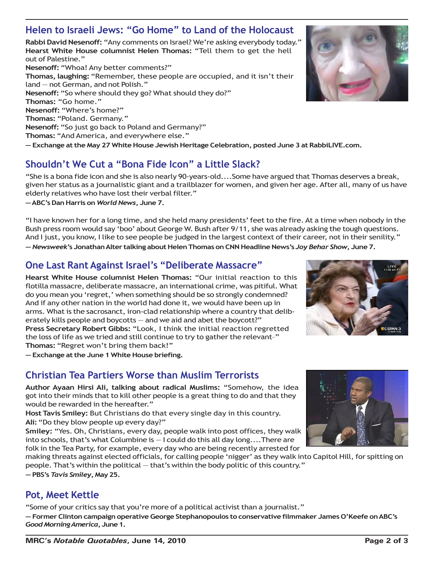#### **Helen to Israeli Jews: "Go Home" to Land of the Holocaust**

**Rabbi David Nesenoff:** "Any comments on Israel? We're asking everybody today." **Hearst White House columnist Helen Thomas:** "Tell them to get the hell out of Palestine."

**Nesenoff:** "Whoa! Any better comments?" **Thomas, laughing:** "Remember, these people are occupied, and it isn't their land — not German, and not Polish." **Nesenoff:** "So where should they go? What should they do?" **Thomas:** "Go home." **Nesenoff:** "Where's home?" **Thomas:** "Poland. Germany." **Nesenoff:** "So just go back to Poland and Germany?" **Thomas:** "And America, and everywhere else." **— Exchange at the May 27 White House Jewish Heritage Celebration, posted June 3 at RabbiLIVE.com.**

## **Shouldn't We Cut a "Bona Fide Icon" a Little Slack?**

"She is a bona fide icon and she is also nearly 90-years-old....Some have argued that Thomas deserves a break, given her status as a journalistic giant and a trailblazer for women, and given her age. After all, many of us have elderly relatives who have lost their verbal filter."

**— ABC's Dan Harris on** *World News***, June 7.**

"I have known her for a long time, and she held many presidents' feet to the fire. At a time when nobody in the Bush press room would say 'boo' about George W. Bush after 9/11, she was already asking the tough questions. And I just, you know, I like to see people be judged in the largest context of their career, not in their senility." **—** *Newsweek***'s Jonathan Alter talking about Helen Thomas on CNN Headline News's** *Joy Behar Show***, June 7.**

#### **One Last Rant Against Israel's "Deliberate Massacre"**

**Hearst White House columnist Helen Thomas:** "Our initial reaction to this flotilla massacre, deliberate massacre, an international crime, was pitiful. What do you mean you 'regret,' when something should be so strongly condemned? And if any other nation in the world had done it, we would have been up in arms. What is the sacrosanct, iron-clad relationship where a country that deliberately kills people and boycotts — and we aid and abet the boycott?" **Press Secretary Robert Gibbs:** "Look, I think the initial reaction regretted the loss of life as we tried and still continue to try to gather the relevant–" **Thomas:** "Regret won't bring them back!"

**— Exchange at the June 1 White House briefing.**

## **Christian Tea Partiers Worse than Muslim Terrorists**

**Author Ayaan Hirsi Ali, talking about radical Muslims:** "Somehow, the idea got into their minds that to kill other people is a great thing to do and that they would be rewarded in the hereafter."

**Host Tavis Smiley:** But Christians do that every single day in this country. **Ali:** "Do they blow people up every day?"

**Smiley:** "Yes. Oh, Christians, every day, people walk into post offices, they walk into schools, that's what Columbine is — I could do this all day long....There are folk in the Tea Party, for example, every day who are being recently arrested for

making threats against elected officials, for calling people 'nigger' as they walk into Capitol Hill, for spitting on people. That's within the political — that's within the body politic of this country."

**— PBS's** *Tavis Smiley***, May 25.**

## **Pot, Meet Kettle**

"Some of your critics say that you're more of a political activist than a journalist."

**— Former Clinton campaign operative George Stephanopoulos to conservative filmmaker James O'Keefe on ABC's** *Good Morning America***, June 1.**